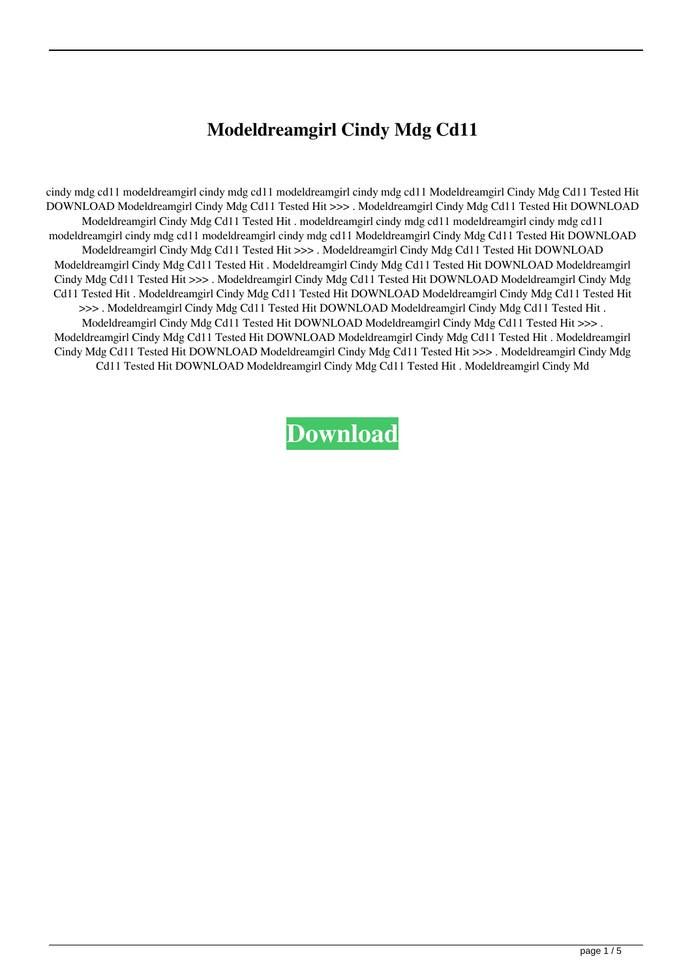## **Modeldreamgirl Cindy Mdg Cd11**

cindy mdg cd11 modeldreamgirl cindy mdg cd11 modeldreamgirl cindy mdg cd11 Modeldreamgirl Cindy Mdg Cd11 Tested Hit DOWNLOAD Modeldreamgirl Cindy Mdg Cd11 Tested Hit >>> . Modeldreamgirl Cindy Mdg Cd11 Tested Hit DOWNLOAD Modeldreamgirl Cindy Mdg Cd11 Tested Hit . modeldreamgirl cindy mdg cd11 modeldreamgirl cindy mdg cd11 modeldreamgirl cindy mdg cd11 modeldreamgirl cindy mdg cd11 Modeldreamgirl Cindy Mdg Cd11 Tested Hit DOWNLOAD Modeldreamgirl Cindy Mdg Cd11 Tested Hit >>> . Modeldreamgirl Cindy Mdg Cd11 Tested Hit DOWNLOAD Modeldreamgirl Cindy Mdg Cd11 Tested Hit . Modeldreamgirl Cindy Mdg Cd11 Tested Hit DOWNLOAD Modeldreamgirl Cindy Mdg Cd11 Tested Hit >>> . Modeldreamgirl Cindy Mdg Cd11 Tested Hit DOWNLOAD Modeldreamgirl Cindy Mdg Cd11 Tested Hit . Modeldreamgirl Cindy Mdg Cd11 Tested Hit DOWNLOAD Modeldreamgirl Cindy Mdg Cd11 Tested Hit >>> . Modeldreamgirl Cindy Mdg Cd11 Tested Hit DOWNLOAD Modeldreamgirl Cindy Mdg Cd11 Tested Hit . Modeldreamgirl Cindy Mdg Cd11 Tested Hit DOWNLOAD Modeldreamgirl Cindy Mdg Cd11 Tested Hit >>>. Modeldreamgirl Cindy Mdg Cd11 Tested Hit DOWNLOAD Modeldreamgirl Cindy Mdg Cd11 Tested Hit . Modeldreamgirl Cindy Mdg Cd11 Tested Hit DOWNLOAD Modeldreamgirl Cindy Mdg Cd11 Tested Hit >>> . Modeldreamgirl Cindy Mdg Cd11 Tested Hit DOWNLOAD Modeldreamgirl Cindy Mdg Cd11 Tested Hit . Modeldreamgirl Cindy Md

**[Download](http://evacdir.com/electrodes/dmoz.gale?kold=ZG93bmxvYWR8a24wTVRWaU9IeDhNVFkxTWpjME1EZzJObng4TWpVM05IeDhLRTBwSUhKbFlXUXRZbXh2WnlCYlJtRnpkQ0JIUlU1ZA.bW9kZWxkcmVhbWdpcmwgY2luZHkgbWRnIGNkMTEbW9.luckiest.hyoid.outdatedbelief)**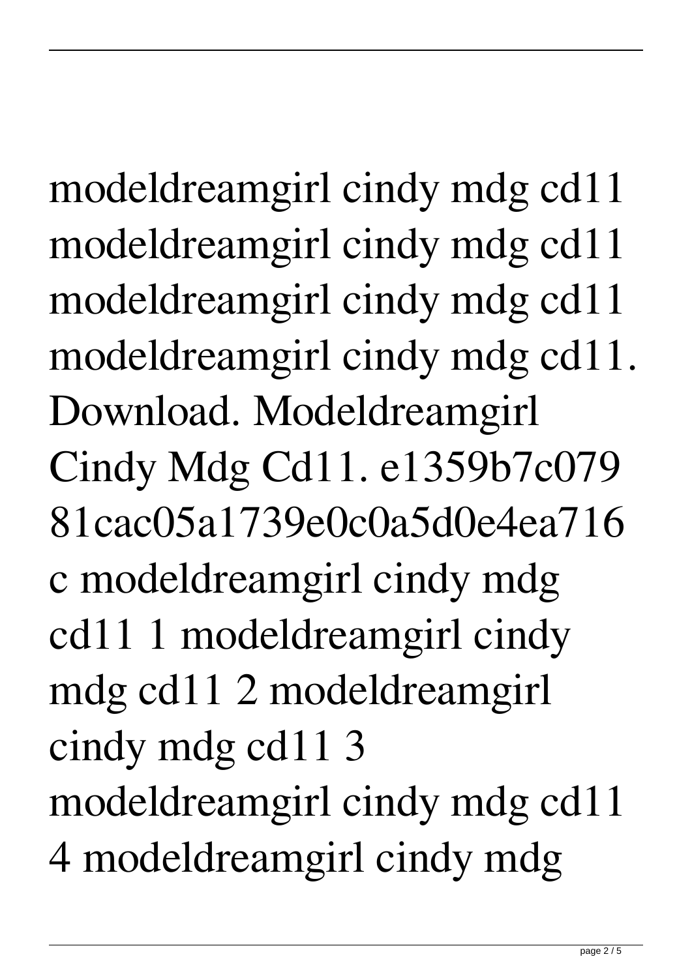modeldreamgirl cindy mdg cd11 modeldreamgirl cindy mdg cd11 modeldreamgirl cindy mdg cd11 modeldreamgirl cindy mdg cd11. Download. Modeldreamgirl Cindy Mdg Cd11. e1359b7c079 81cac05a1739e0c0a5d0e4ea716 c modeldreamgirl cindy mdg cd11 1 modeldreamgirl cindy mdg cd11 2 modeldreamgirl cindy mdg cd11 3 modeldreamgirl cindy mdg cd11 4 modeldreamgirl cindy mdg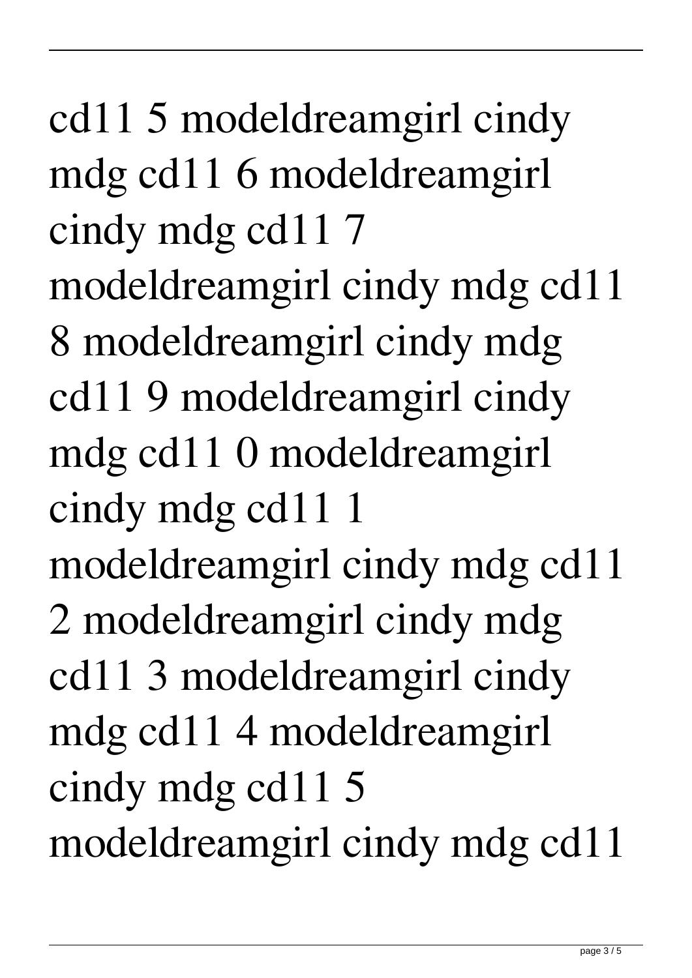cd11 5 modeldreamgirl cindy mdg cd11 6 modeldreamgirl cindy mdg cd11 7 modeldreamgirl cindy mdg cd11 8 modeldreamgirl cindy mdg cd11 9 modeldreamgirl cindy mdg cd11 0 modeldreamgirl cindy mdg cd11 1 modeldreamgirl cindy mdg cd11 2 modeldreamgirl cindy mdg cd11 3 modeldreamgirl cindy mdg cd11 4 modeldreamgirl cindy mdg cd11 5 modeldreamgirl cindy mdg cd11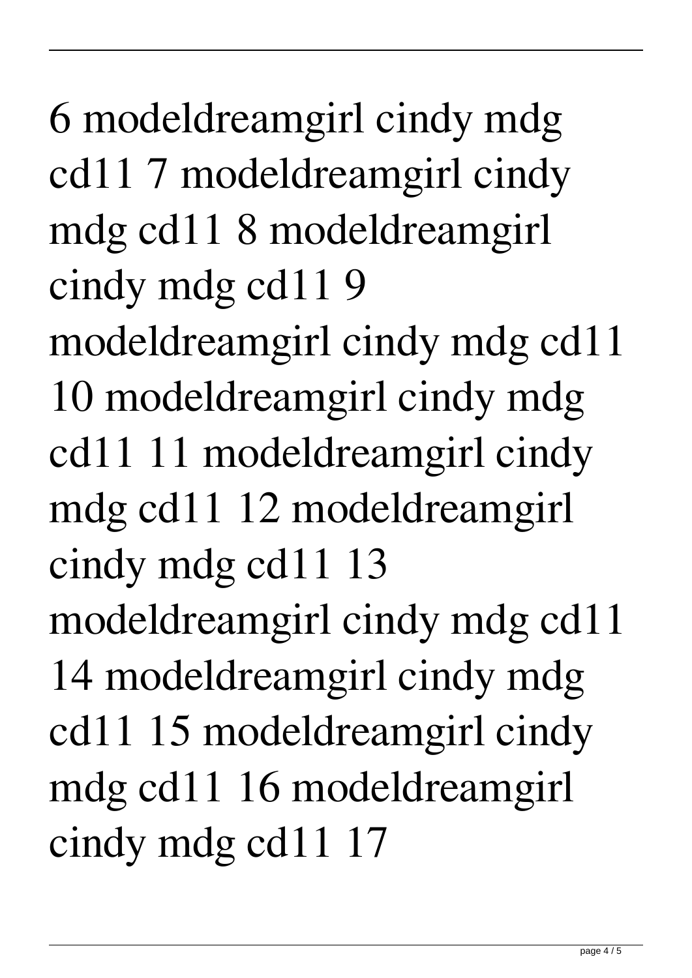6 modeldreamgirl cindy mdg cd11 7 modeldreamgirl cindy mdg cd11 8 modeldreamgirl cindy mdg cd11 9 modeldreamgirl cindy mdg cd11 10 modeldreamgirl cindy mdg cd11 11 modeldreamgirl cindy mdg cd11 12 modeldreamgirl cindy mdg cd11 13 modeldreamgirl cindy mdg cd11 14 modeldreamgirl cindy mdg cd11 15 modeldreamgirl cindy mdg cd11 16 modeldreamgirl cindy mdg cd11 17